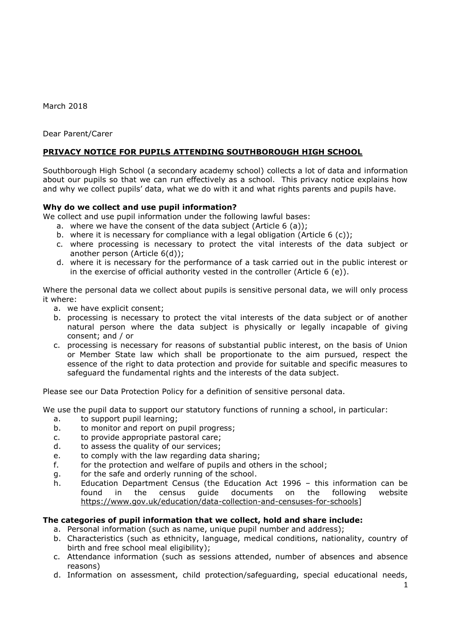March 2018

Dear Parent/Carer

# **PRIVACY NOTICE FOR PUPILS ATTENDING SOUTHBOROUGH HIGH SCHOOL**

Southborough High School (a secondary academy school) collects a lot of data and information about our pupils so that we can run effectively as a school. This privacy notice explains how and why we collect pupils' data, what we do with it and what rights parents and pupils have.

## **Why do we collect and use pupil information?**

We collect and use pupil information under the following lawful bases:

- a. where we have the consent of the data subject (Article 6 (a));
- b. where it is necessary for compliance with a legal obligation (Article  $6$  (c));
- c. where processing is necessary to protect the vital interests of the data subject or another person (Article 6(d));
- d. where it is necessary for the performance of a task carried out in the public interest or in the exercise of official authority vested in the controller (Article  $6$  (e)).

Where the personal data we collect about pupils is sensitive personal data, we will only process it where:

- a. we have explicit consent;
- b. processing is necessary to protect the vital interests of the data subject or of another natural person where the data subject is physically or legally incapable of giving consent; and / or
- c. processing is necessary for reasons of substantial public interest, on the basis of Union or Member State law which shall be proportionate to the aim pursued, respect the essence of the right to data protection and provide for suitable and specific measures to safeguard the fundamental rights and the interests of the data subject.

Please see our Data Protection Policy for a definition of sensitive personal data.

We use the pupil data to support our statutory functions of running a school, in particular:

- a. to support pupil learning;
- b. to monitor and report on pupil progress;
- c. to provide appropriate pastoral care;
- d. to assess the quality of our services;
- e. to comply with the law regarding data sharing;
- f. for the protection and welfare of pupils and others in the school;
- g. for the safe and orderly running of the school.
- h. Education Department Census (the Education Act 1996 this information can be found in the census guide documents on the following website [https://www.gov.uk/education/data-collection-and-censuses-for-schools\]](https://www.gov.uk/education/data-collection-and-censuses-for-schools)

## **The categories of pupil information that we collect, hold and share include:**

- a. Personal information (such as name, unique pupil number and address);
- b. Characteristics (such as ethnicity, language, medical conditions, nationality, country of birth and free school meal eligibility);
- c. Attendance information (such as sessions attended, number of absences and absence reasons)
- d. Information on assessment, child protection/safeguarding, special educational needs,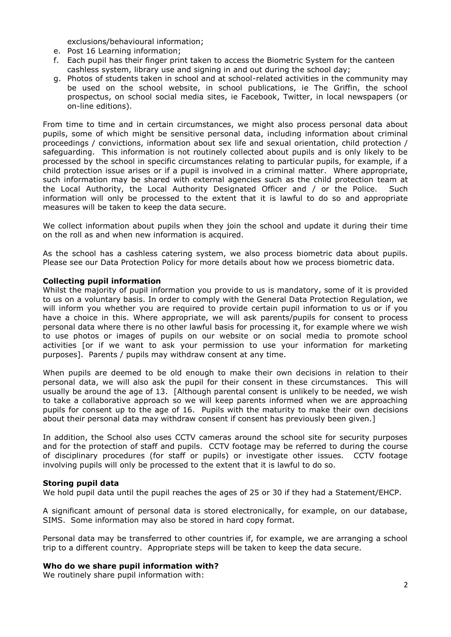exclusions/behavioural information;

- e. Post 16 Learning information;
- f. Each pupil has their finger print taken to access the Biometric System for the canteen cashless system, library use and signing in and out during the school day;
- g. Photos of students taken in school and at school-related activities in the community may be used on the school website, in school publications, ie The Griffin, the school prospectus, on school social media sites, ie Facebook, Twitter, in local newspapers (or on-line editions).

From time to time and in certain circumstances, we might also process personal data about pupils, some of which might be sensitive personal data, including information about criminal proceedings / convictions, information about sex life and sexual orientation, child protection / safeguarding. This information is not routinely collected about pupils and is only likely to be processed by the school in specific circumstances relating to particular pupils, for example, if a child protection issue arises or if a pupil is involved in a criminal matter. Where appropriate, such information may be shared with external agencies such as the child protection team at the Local Authority, the Local Authority Designated Officer and / or the Police. Such information will only be processed to the extent that it is lawful to do so and appropriate measures will be taken to keep the data secure.

We collect information about pupils when they join the school and update it during their time on the roll as and when new information is acquired.

As the school has a cashless catering system, we also process biometric data about pupils. Please see our Data Protection Policy for more details about how we process biometric data.

#### **Collecting pupil information**

Whilst the majority of pupil information you provide to us is mandatory, some of it is provided to us on a voluntary basis. In order to comply with the General Data Protection Regulation, we will inform you whether you are required to provide certain pupil information to us or if you have a choice in this. Where appropriate, we will ask parents/pupils for consent to process personal data where there is no other lawful basis for processing it, for example where we wish to use photos or images of pupils on our website or on social media to promote school activities [or if we want to ask your permission to use your information for marketing purposes]. Parents / pupils may withdraw consent at any time.

When pupils are deemed to be old enough to make their own decisions in relation to their personal data, we will also ask the pupil for their consent in these circumstances. This will usually be around the age of 13. [Although parental consent is unlikely to be needed, we wish to take a collaborative approach so we will keep parents informed when we are approaching pupils for consent up to the age of 16. Pupils with the maturity to make their own decisions about their personal data may withdraw consent if consent has previously been given.]

In addition, the School also uses CCTV cameras around the school site for security purposes and for the protection of staff and pupils. CCTV footage may be referred to during the course of disciplinary procedures (for staff or pupils) or investigate other issues. CCTV footage involving pupils will only be processed to the extent that it is lawful to do so.

#### **Storing pupil data**

We hold pupil data until the pupil reaches the ages of 25 or 30 if they had a Statement/EHCP.

A significant amount of personal data is stored electronically, for example, on our database, SIMS. Some information may also be stored in hard copy format.

Personal data may be transferred to other countries if, for example, we are arranging a school trip to a different country. Appropriate steps will be taken to keep the data secure.

## **Who do we share pupil information with?**

We routinely share pupil information with: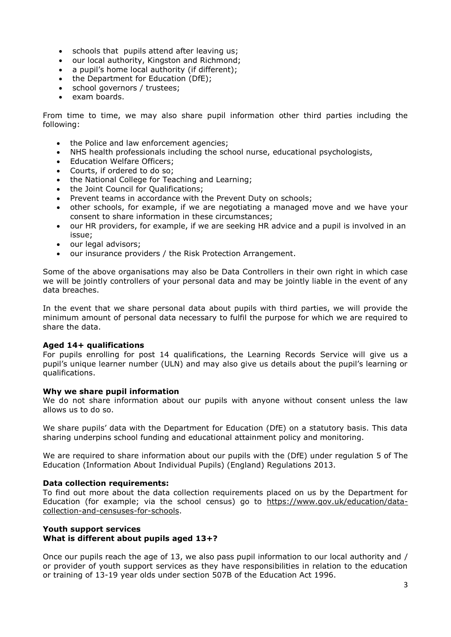- schools that pupils attend after leaving us;
- our local authority, Kingston and Richmond;
- a pupil's home local authority (if different);
- the Department for Education (DfE);
- school governors / trustees;
- exam boards.

From time to time, we may also share pupil information other third parties including the following:

- the Police and law enforcement agencies;
- NHS health professionals including the school nurse, educational psychologists,
- Education Welfare Officers;
- Courts, if ordered to do so;
- the National College for Teaching and Learning;
- the Joint Council for Oualifications:
- Prevent teams in accordance with the Prevent Duty on schools;
- other schools, for example, if we are negotiating a managed move and we have your consent to share information in these circumstances;
- our HR providers, for example, if we are seeking HR advice and a pupil is involved in an issue;
- our legal advisors;
- our insurance providers / the Risk Protection Arrangement.

Some of the above organisations may also be Data Controllers in their own right in which case we will be jointly controllers of your personal data and may be jointly liable in the event of any data breaches.

In the event that we share personal data about pupils with third parties, we will provide the minimum amount of personal data necessary to fulfil the purpose for which we are required to share the data.

#### **Aged 14+ qualifications**

For pupils enrolling for post 14 qualifications, the Learning Records Service will give us a pupil's unique learner number (ULN) and may also give us details about the pupil's learning or qualifications.

#### **Why we share pupil information**

We do not share information about our pupils with anyone without consent unless the law allows us to do so.

We share pupils' data with the Department for Education (DfE) on a statutory basis. This data sharing underpins school funding and educational attainment policy and monitoring.

We are required to share information about our pupils with the (DfE) under regulation 5 of The Education (Information About Individual Pupils) (England) Regulations 2013.

#### **Data collection requirements:**

To find out more about the data collection requirements placed on us by the Department for Education (for example; via the school census) go to [https://www.gov.uk/education/data](https://www.gov.uk/education/data-collection-and-censuses-for-schools)[collection-and-censuses-for-schools.](https://www.gov.uk/education/data-collection-and-censuses-for-schools)

#### **Youth support services What is different about pupils aged 13+?**

Once our pupils reach the age of 13, we also pass pupil information to our local authority and / or provider of youth support services as they have responsibilities in relation to the education or training of 13-19 year olds under section 507B of the Education Act 1996.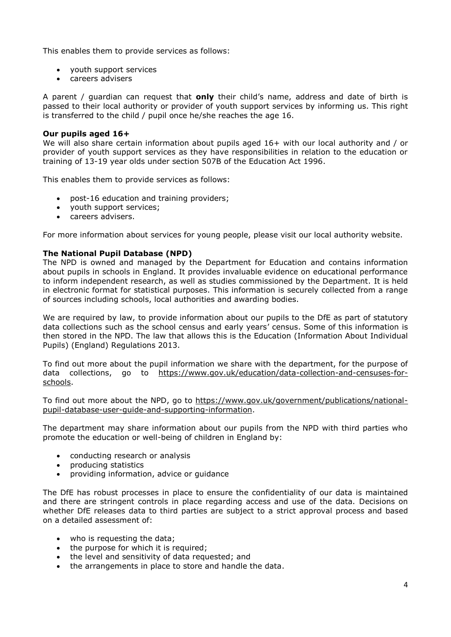This enables them to provide services as follows:

- youth support services
- careers advisers

A parent / guardian can request that **only** their child's name, address and date of birth is passed to their local authority or provider of youth support services by informing us. This right is transferred to the child / pupil once he/she reaches the age 16.

### **Our pupils aged 16+**

We will also share certain information about pupils aged 16+ with our local authority and / or provider of youth support services as they have responsibilities in relation to the education or training of 13-19 year olds under section 507B of the Education Act 1996.

This enables them to provide services as follows:

- post-16 education and training providers;
- youth support services;
- careers advisers.

For more information about services for young people, please visit our local authority website.

## **The National Pupil Database (NPD)**

The NPD is owned and managed by the Department for Education and contains information about pupils in schools in England. It provides invaluable evidence on educational performance to inform independent research, as well as studies commissioned by the Department. It is held in electronic format for statistical purposes. This information is securely collected from a range of sources including schools, local authorities and awarding bodies.

We are required by law, to provide information about our pupils to the DfE as part of statutory data collections such as the school census and early years' census. Some of this information is then stored in the NPD. The law that allows this is the Education (Information About Individual Pupils) (England) Regulations 2013.

To find out more about the pupil information we share with the department, for the purpose of data collections, go to [https://www.gov.uk/education/data-collection-and-censuses-for](https://www.gov.uk/education/data-collection-and-censuses-for-schools)[schools.](https://www.gov.uk/education/data-collection-and-censuses-for-schools)

To find out more about the NPD, go to [https://www.gov.uk/government/publications/national](https://www.gov.uk/government/publications/national-pupil-database-user-guide-and-supporting-information)[pupil-database-user-guide-and-supporting-information.](https://www.gov.uk/government/publications/national-pupil-database-user-guide-and-supporting-information)

The department may share information about our pupils from the NPD with third parties who promote the education or well-being of children in England by:

- conducting research or analysis
- producing statistics
- providing information, advice or guidance

The DfE has robust processes in place to ensure the confidentiality of our data is maintained and there are stringent controls in place regarding access and use of the data. Decisions on whether DfE releases data to third parties are subject to a strict approval process and based on a detailed assessment of:

- who is requesting the data;
- the purpose for which it is required;
- the level and sensitivity of data requested; and
- the arrangements in place to store and handle the data.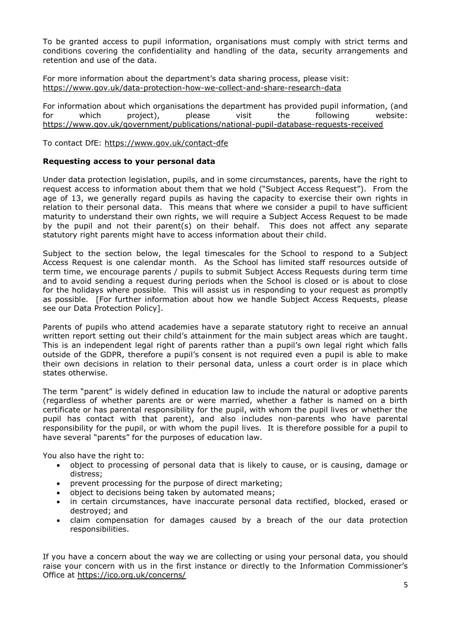To be granted access to pupil information, organisations must comply with strict terms and conditions covering the confidentiality and handling of the data, security arrangements and retention and use of the data.

For more information about the department's data sharing process, please visit: <https://www.gov.uk/data-protection-how-we-collect-and-share-research-data>

For information about which organisations the department has provided pupil information, (and<br>for which project), please visit the following website: for which project), please visit the following website: <https://www.gov.uk/government/publications/national-pupil-database-requests-received>

To contact DfE:<https://www.gov.uk/contact-dfe>

## **Requesting access to your personal data**

Under data protection legislation, pupils, and in some circumstances, parents, have the right to request access to information about them that we hold ("Subject Access Request"). From the age of 13, we generally regard pupils as having the capacity to exercise their own rights in relation to their personal data. This means that where we consider a pupil to have sufficient maturity to understand their own rights, we will require a Subject Access Request to be made by the pupil and not their parent(s) on their behalf. This does not affect any separate statutory right parents might have to access information about their child.

Subject to the section below, the legal timescales for the School to respond to a Subject Access Request is one calendar month. As the School has limited staff resources outside of term time, we encourage parents / pupils to submit Subject Access Requests during term time and to avoid sending a request during periods when the School is closed or is about to close for the holidays where possible. This will assist us in responding to your request as promptly as possible. [For further information about how we handle Subject Access Requests, please see our Data Protection Policy].

Parents of pupils who attend academies have a separate statutory right to receive an annual written report setting out their child's attainment for the main subject areas which are taught. This is an independent legal right of parents rather than a pupil's own legal right which falls outside of the GDPR, therefore a pupil's consent is not required even a pupil is able to make their own decisions in relation to their personal data, unless a court order is in place which states otherwise.

The term "parent" is widely defined in education law to include the natural or adoptive parents (regardless of whether parents are or were married, whether a father is named on a birth certificate or has parental responsibility for the pupil, with whom the pupil lives or whether the pupil has contact with that parent), and also includes non-parents who have parental responsibility for the pupil, or with whom the pupil lives. It is therefore possible for a pupil to have several "parents" for the purposes of education law.

You also have the right to:

- object to processing of personal data that is likely to cause, or is causing, damage or distress;
- prevent processing for the purpose of direct marketing;
- object to decisions being taken by automated means;
- in certain circumstances, have inaccurate personal data rectified, blocked, erased or destroyed; and
- claim compensation for damages caused by a breach of the our data protection responsibilities.

If you have a concern about the way we are collecting or using your personal data, you should raise your concern with us in the first instance or directly to the Information Commissioner's Office at <https://ico.org.uk/concerns/>